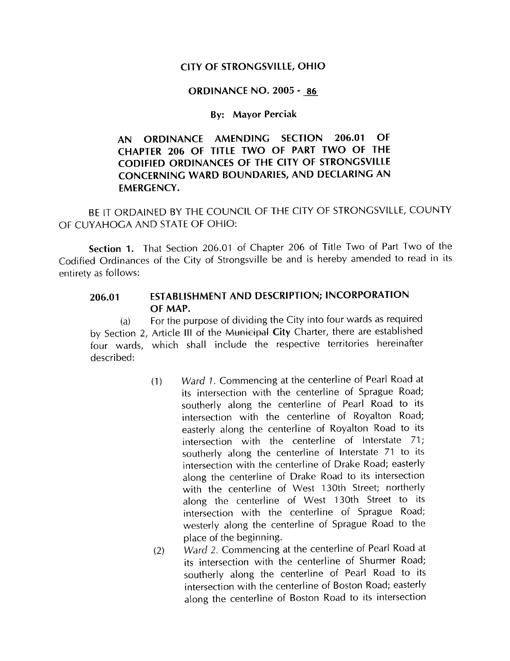### CITY OF STRONGSVILLE, OHIO

#### **ORDINANCE NO. 2005 - 86**

#### **By: Mayor Perciak**

# AN ORDINANCE AMENDING SECTION 206.01 OF CHAPTER 206 OF TITLE TWO OF PART TWO OF THE CODIFIED ORDINANCES OF THE CITY OF STRONGSVILLE CONCERNING WARD BOUNDARIES, AND DECLARING AN EMERGENCY

BE IT ORDAINED BY THE COUNCIL OF THE CITY OF STRONGSVILLE, COUNTY OF CUYAHOGA AND STATE OF OHIO

Section 1. That Section 206.01 of Chapter 206 of Title Two of Part Two of the Codified Ordinances of the City of Strongsville be and is hereby amended to read in its entirety as follows

# 206.01 ESTABLISHMENT AND DESCRIPTION; INCORPORATION OF MAP

 $(a)$  For the purpose of dividing the City into four wards as required by Section 2, Article III of the Municipal City Charter, there are established four wards, which shall include the respective territories hereinafter described

- (1) Ward 1. Commencing at the centerline of Pearl Road at its intersection with the centerline of Sprague Road; southerly along the centerline of Pearl Road to its intersection with the centerline of Royalton Road easterly along the centerline of Royalton Road to its intersection with the centerline of Interstate  $71$ ; southerly along the centerline of Interstate <sup>71</sup> to its intersection with the centerline of Drake Road; easterly along the centerline of Drake Road to its intersection with the centerline of West 130th Street; northerly along the centerline of West 130th Street to its intersection with the centerline of Sprague Road; westerly along the centerline of Sprague Road to the place of the beginning
- (2) Ward 2. Commencing at the centerline of Pearl Road at its intersection with the centerline of Shurmer Road; southerly along the centerline of Pearl Road to its intersection with the centerline of Boston Road; easterly along the centerline of Boston Road to its intersection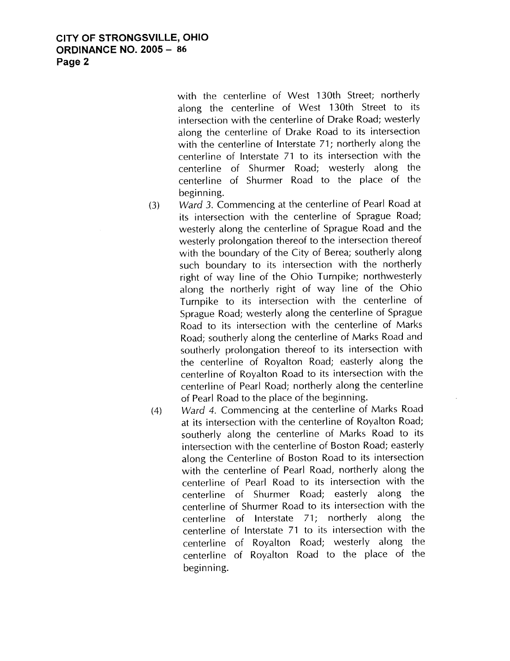CITY OF STRONGSVILLE, OHIO **ORDINANCE NO. 2005 - 86** Page 2

> with the centerline of West 130th Street; northerly along the centerline of West 130th Street to its intersection with the centerline of Drake Road; westerly along the centerline of Drake Road to its intersection with the centerline of Interstate 71; northerly along the centerline of Interstate <sup>71</sup> to its intersection with the centerline of Shurmer Road; westerly along the centerline of Shurmer Road to the place of the beginning

- (3) Ward 3. Commencing at the centerline of Pearl Road at its intersection with the centerline of Sprague Road westerly along the centerline of Sprague Road and the westerly prolongation thereof to the intersection thereof with the boundary of the City of Berea; southerly along such boundary to its intersection with the northerly right of way line of the Ohio Turnpike; northwesterly along the northerly right of way line of the Ohio Turnpike to its intersection with the centerline of Sprague Road; westerly along the centerline of Sprague Road to its intersection with the centerline of Marks Road; southerly along the centerline of Marks Road and southerly prolongation thereof to its intersection with the centerline of Royalton Road; easterly along the centerline of Royalton Road to its intersection with the centerline of Pearl Road; northerly along the centerline of Pearl Road to the place of the beginning
- (4) Ward 4. Commencing at the centerline of Marks Road at its intersection with the centerline of Royalton Road southerly along the centerline of Marks Road to its intersection with the centerline of Boston Road; easterly along the Centerline of Boston Road to its intersection with the centerline of Pearl Road, northerly along the centerline of Pearl Road to its intersection with the centerline of Shurmer Road; easterly along the centerline of Shurmer Road to its intersection with the centerline of Interstate <sup>71</sup> northerly along the centerline of Interstate <sup>71</sup> to its intersection with the centerline of Royalton Road: westerly along the centerline of Royalton Road to the place of the beginning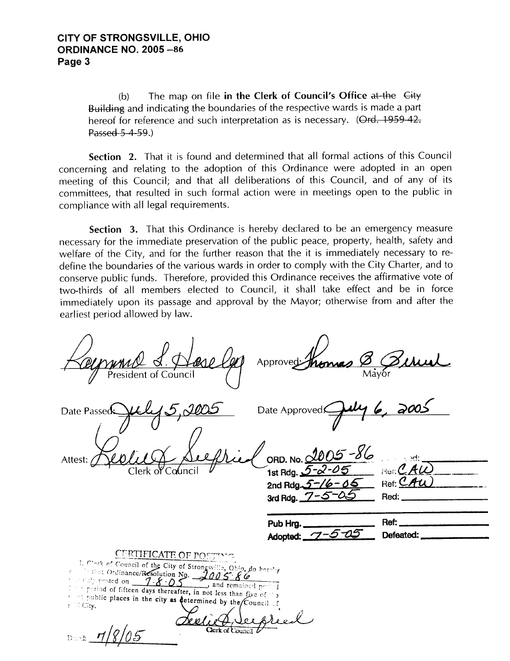(b) The map on file in the Clerk of Council's Office at the  $\chi$ -Building and indicating the boundaries of the respective wards is made a part hereof for reference and such interpretation as is necessary. (Ord. 1959-42. Passed  $5-4-59.$ )

Section 2. That it is found and determined that all formal actions of this Council concerning and relating to the adoption of this Ordinance were adopted in an open meeting of this Council; and that all deliberations of this Council, and of any of its committees, that resulted in such formal action were in meetings open to the public in compliance with all legal requirements

Section 3. That this Ordinance is hereby declared to be an emergency measure necessary for the immediate preservation of the public peace, property, health, safety and welfare of the City, and for the further reason that the it is immediately necessary to redefine the boundaries of the various wards in order to comply with the City Charter, and to conserve public funds. Therefore, provided this Ordinance receives the affirmative vote of two-thirds of all members elected to Council, it shall take effect and be in force immediately upon its passage and approval by the Mayor; otherwise from and after the earliest period allowed by law

| eseller                                                                                                                                                                                                                                                                                                                                                                                                                                                 | Approved                                                    |                                |
|---------------------------------------------------------------------------------------------------------------------------------------------------------------------------------------------------------------------------------------------------------------------------------------------------------------------------------------------------------------------------------------------------------------------------------------------------------|-------------------------------------------------------------|--------------------------------|
| Date Passed<br>Attest:                                                                                                                                                                                                                                                                                                                                                                                                                                  | Date Approved!<br>$-86$<br>ORD. No. 2005                    | ುಗ:                            |
|                                                                                                                                                                                                                                                                                                                                                                                                                                                         | 1st Rdg. 5-2-05<br>2nd Rdg. 5-16-05<br>3rd Rdg. $7 - 5 - 6$ | $Her$ $CH$<br>Ref: CAU<br>Red: |
|                                                                                                                                                                                                                                                                                                                                                                                                                                                         | Pub Hrg.<br>Adopted: 7                                      | Ref:<br>Defeated:              |
| <b>CERTIFICATE OF POSTIVIC</b><br>I. Clock of Council of the City of Strongsville, Ohio, do hotely<br>Contrat Ordinance/Resolution No. 2005 86<br>$\mathcal{L}$ (ally posted on $\mathcal{L}$ - $\mathcal{L}$ - $\mathcal{L}$ - $\mathcal{L}$ - $\mathcal{L}$<br>and remained period<br>In a period of fifteen days thereafter, in not less than five of "3<br>rest public places in the city as determined by the Council of<br>$5 - 1$ City.<br>Dmedi |                                                             |                                |